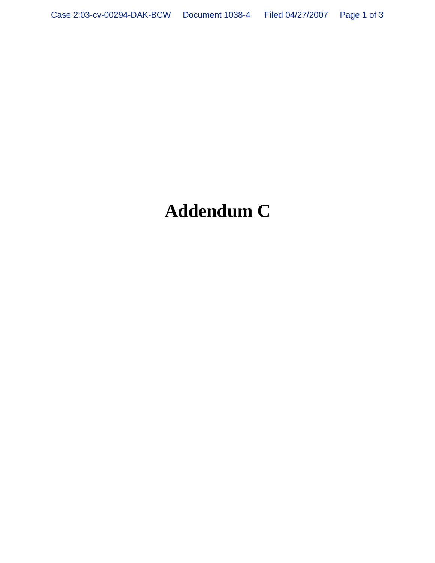## **Addendum C**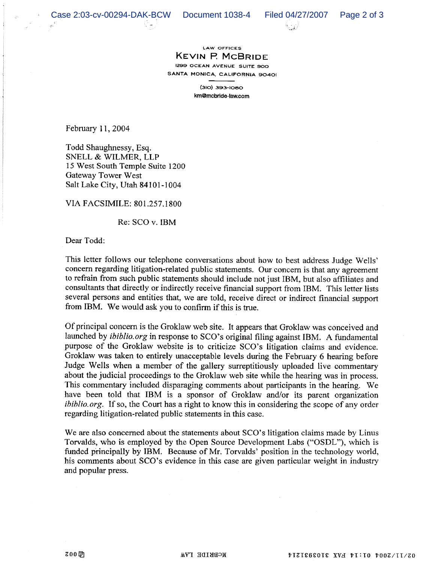



## LAW OFFICES KEVIN P McBRIDE 1299 OCEAN AVENUE SUITE 900 SANTA MONICA, CALIFORNIA 90401

(310) 393-1080 km@mcbride-law.com

February i l, 2004

Todd Shaughnessy, Esq. SNELL & WILMER, LLP 15 West South Temple Suite 1200 Gateway Tower West Salt Lake City, Utah 84101-1004

VIA FACSIMILE: 801.257.1800

Re: SCO v. IBM

Dear Todd:

This letter follows our telephone conversations about how to best address Judge Wells' concern regarding litigation-related public statements. Our concern is that any agreement to refrain from such public statements should include not just IBM, but also affiliates and consultants that directly or indirectly receive financial support from IBM. This letter lists several persons and entities that, we are told, receive direct or indirect financial support from IBM. We would ask you to confirm if this is true.

Of principal concern is the Groklaw web site. It appears that Groklaw was conceived and launched by *ibiblio.org* in response to SCO's original filing against IBM. A fundamental purpose of the Groklaw website is to criticize SCO's litigation claims and evidence. Groklaw was taken to entirely unacceptable levels during the February 6 hearing before Judge Wells when a member of the gallery surreptitiously uploaded live commentary about the judicial proceedings to the Groklaw web site while the hearing was in process. This commentary included disparaging comments about participants in the hearing. We have been told that IBM is a sponsor of Groklaw and/or its parent organization ibiblio.org. If so, the Court has a right to know this in considering the scope of any order regarding litigation-related public statements in this case.

We are also concerned about the statements about SCO's litigation claims made by Linus Torvalds, who is employed by the Open Source Development Labs ("OSDL"), which is funded principally by IBM. Because of Mr. Torvalds' position in the technology world, his comments about SCO's evidence in this case are given particular weight in industry and popular press.